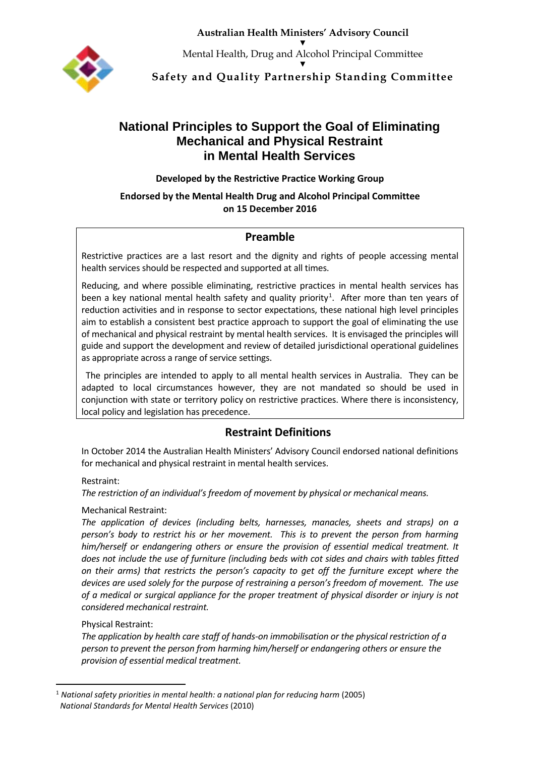**Australian Health Ministers' Advisory Council** ▼



Mental Health, Drug and Alcohol Principal Committee ▼

**Safety and Quality Partnership Standing Committee**

# **National Principles to Support the Goal of Eliminating Mechanical and Physical Restraint in Mental Health Services**

**Developed by the Restrictive Practice Working Group**

## **Endorsed by the Mental Health Drug and Alcohol Principal Committee on 15 December 2016**

# **Preamble**

Restrictive practices are a last resort and the dignity and rights of people accessing mental health services should be respected and supported at all times.

Reducing, and where possible eliminating, restrictive practices in mental health services has been a key national mental health safety and quality priority<sup>[1](#page-0-0)</sup>. After more than ten years of reduction activities and in response to sector expectations, these national high level principles aim to establish a consistent best practice approach to support the goal of eliminating the use of mechanical and physical restraint by mental health services. It is envisaged the principles will guide and support the development and review of detailed jurisdictional operational guidelines as appropriate across a range of service settings.

The principles are intended to apply to all mental health services in Australia. They can be adapted to local circumstances however, they are not mandated so should be used in conjunction with state or territory policy on restrictive practices. Where there is inconsistency, local policy and legislation has precedence.

# **Restraint Definitions**

In October 2014 the Australian Health Ministers' Advisory Council endorsed national definitions for mechanical and physical restraint in mental health services.

## Restraint:

*The restriction of an individual's freedom of movement by physical or mechanical means.*

# Mechanical Restraint:

*The application of devices (including belts, harnesses, manacles, sheets and straps) on a person's body to restrict his or her movement. This is to prevent the person from harming him/herself or endangering others or ensure the provision of essential medical treatment. It does not include the use of furniture (including beds with cot sides and chairs with tables fitted on their arms) that restricts the person's capacity to get off the furniture except where the devices are used solely for the purpose of restraining a person's freedom of movement. The use of a medical or surgical appliance for the proper treatment of physical disorder or injury is not considered mechanical restraint.*

## Physical Restraint:

*The application by health care staff of hands-on immobilisation or the physical restriction of a person to prevent the person from harming him/herself or endangering others or ensure the provision of essential medical treatment.*

<span id="page-0-0"></span> <sup>1</sup> *National safety priorities in mental health: a national plan for reducing harm* (2005) *National Standards for Mental Health Services* (2010)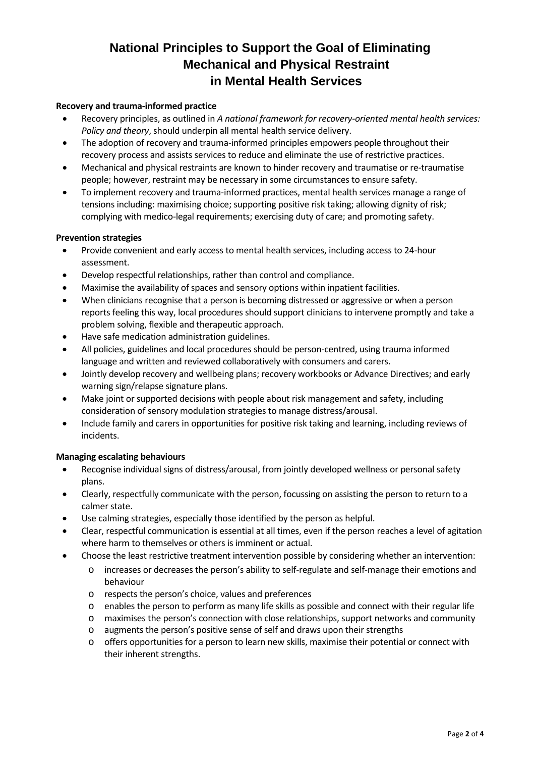# **National Principles to Support the Goal of Eliminating Mechanical and Physical Restraint in Mental Health Services**

#### **Recovery and trauma-informed practice**

- Recovery principles, as outlined in *A national framework for recovery-oriented mental health services: Policy and theory*, should underpin all mental health service delivery.
- The adoption of recovery and trauma-informed principles empowers people throughout their recovery process and assists services to reduce and eliminate the use of restrictive practices.
- Mechanical and physical restraints are known to hinder recovery and traumatise or re-traumatise people; however, restraint may be necessary in some circumstances to ensure safety.
- To implement recovery and trauma-informed practices, mental health services manage a range of tensions including: maximising choice; supporting positive risk taking; allowing dignity of risk; complying with medico-legal requirements; exercising duty of care; and promoting safety.

#### **Prevention strategies**

- Provide convenient and early access to mental health services, including access to 24-hour assessment.
- Develop respectful relationships, rather than control and compliance.
- Maximise the availability of spaces and sensory options within inpatient facilities.
- When clinicians recognise that a person is becoming distressed or aggressive or when a person reports feeling this way, local procedures should support clinicians to intervene promptly and take a problem solving, flexible and therapeutic approach.
- Have safe medication administration guidelines.
- All policies, guidelines and local procedures should be person-centred, using trauma informed language and written and reviewed collaboratively with consumers and carers.
- Jointly develop recovery and wellbeing plans; recovery workbooks or Advance Directives; and early warning sign/relapse signature plans.
- Make joint or supported decisions with people about risk management and safety, including consideration of sensory modulation strategies to manage distress/arousal.
- Include family and carers in opportunities for positive risk taking and learning, including reviews of incidents.

#### **Managing escalating behaviours**

- Recognise individual signs of distress/arousal, from jointly developed wellness or personal safety plans.
- Clearly, respectfully communicate with the person, focussing on assisting the person to return to a calmer state.
- Use calming strategies, especially those identified by the person as helpful.
- Clear, respectful communication is essential at all times, even if the person reaches a level of agitation where harm to themselves or others is imminent or actual.
- Choose the least restrictive treatment intervention possible by considering whether an intervention:
	- o increases or decreases the person's ability to self-regulate and self-manage their emotions and behaviour
	- o respects the person's choice, values and preferences
	- o enables the person to perform as many life skills as possible and connect with their regular life
	- o maximises the person's connection with close relationships, support networks and community
	- o augments the person's positive sense of self and draws upon their strengths
	- o offers opportunities for a person to learn new skills, maximise their potential or connect with their inherent strengths.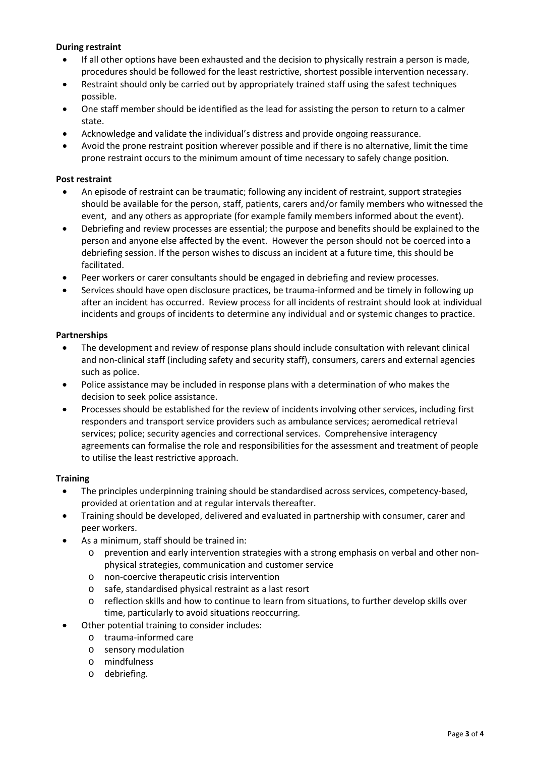#### **During restraint**

- If all other options have been exhausted and the decision to physically restrain a person is made, procedures should be followed for the least restrictive, shortest possible intervention necessary.
- Restraint should only be carried out by appropriately trained staff using the safest techniques possible.
- One staff member should be identified as the lead for assisting the person to return to a calmer state.
- Acknowledge and validate the individual's distress and provide ongoing reassurance.
- Avoid the prone restraint position wherever possible and if there is no alternative, limit the time prone restraint occurs to the minimum amount of time necessary to safely change position.

#### **Post restraint**

- An episode of restraint can be traumatic; following any incident of restraint, support strategies should be available for the person, staff, patients, carers and/or family members who witnessed the event, and any others as appropriate (for example family members informed about the event).
- Debriefing and review processes are essential; the purpose and benefits should be explained to the person and anyone else affected by the event. However the person should not be coerced into a debriefing session. If the person wishes to discuss an incident at a future time, this should be facilitated.
- Peer workers or carer consultants should be engaged in debriefing and review processes.
- Services should have open disclosure practices, be trauma-informed and be timely in following up after an incident has occurred. Review process for all incidents of restraint should look at individual incidents and groups of incidents to determine any individual and or systemic changes to practice.

#### **Partnerships**

- The development and review of response plans should include consultation with relevant clinical and non-clinical staff (including safety and security staff), consumers, carers and external agencies such as police.
- Police assistance may be included in response plans with a determination of who makes the decision to seek police assistance.
- Processes should be established for the review of incidents involving other services, including first responders and transport service providers such as ambulance services; aeromedical retrieval services; police; security agencies and correctional services. Comprehensive interagency agreements can formalise the role and responsibilities for the assessment and treatment of people to utilise the least restrictive approach.

#### **Training**

- The principles underpinning training should be standardised across services, competency-based, provided at orientation and at regular intervals thereafter.
- Training should be developed, delivered and evaluated in partnership with consumer, carer and peer workers.
- As a minimum, staff should be trained in:
	- o prevention and early intervention strategies with a strong emphasis on verbal and other nonphysical strategies, communication and customer service
	- o non-coercive therapeutic crisis intervention
	- o safe, standardised physical restraint as a last resort
	- o reflection skills and how to continue to learn from situations, to further develop skills over time, particularly to avoid situations reoccurring.
- Other potential training to consider includes:
	- o trauma-informed care
	- o sensory modulation
	- o mindfulness
	- o debriefing.